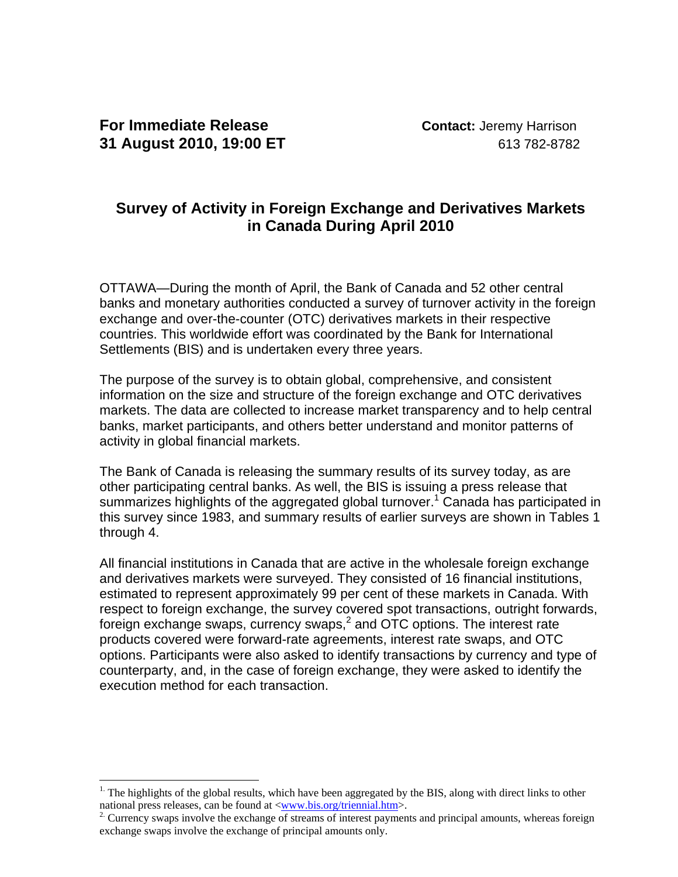$\overline{a}$ 

# **Survey of Activity in Foreign Exchange and Derivatives Markets in Canada During April 2010**

OTTAWA—During the month of April, the Bank of Canada and 52 other central banks and monetary authorities conducted a survey of turnover activity in the foreign exchange and over-the-counter (OTC) derivatives markets in their respective countries. This worldwide effort was coordinated by the Bank for International Settlements (BIS) and is undertaken every three years.

The purpose of the survey is to obtain global, comprehensive, and consistent information on the size and structure of the foreign exchange and OTC derivatives markets. The data are collected to increase market transparency and to help central banks, market participants, and others better understand and monitor patterns of activity in global financial markets.

The Bank of Canada is releasing the summary results of its survey today, as are other participating central banks. As well, the BIS is issuing a press release that summarizes highlights of the aggregated global turnover.<sup>1</sup> Canada has participated in this survey since 1983, and summary results of earlier surveys are shown in Tables 1 through 4.

All financial institutions in Canada that are active in the wholesale foreign exchange and derivatives markets were surveyed. They consisted of 16 financial institutions, estimated to represent approximately 99 per cent of these markets in Canada. With respect to foreign exchange, the survey covered spot transactions, outright forwards, foreign exchange swaps, currency swaps,<sup>2</sup> and OTC options. The interest rate products covered were forward-rate agreements, interest rate swaps, and OTC options. Participants were also asked to identify transactions by currency and type of counterparty, and, in the case of foreign exchange, they were asked to identify the execution method for each transaction.

<sup>&</sup>lt;sup>1.</sup> The highlights of the global results, which have been aggregated by the BIS, along with direct links to other national press releases, can be found at  $\langle$ www.bis.org/triennial.htm>.

<sup>&</sup>lt;sup>2.</sup> Currency swaps involve the exchange of streams of interest payments and principal amounts, whereas foreign exchange swaps involve the exchange of principal amounts only.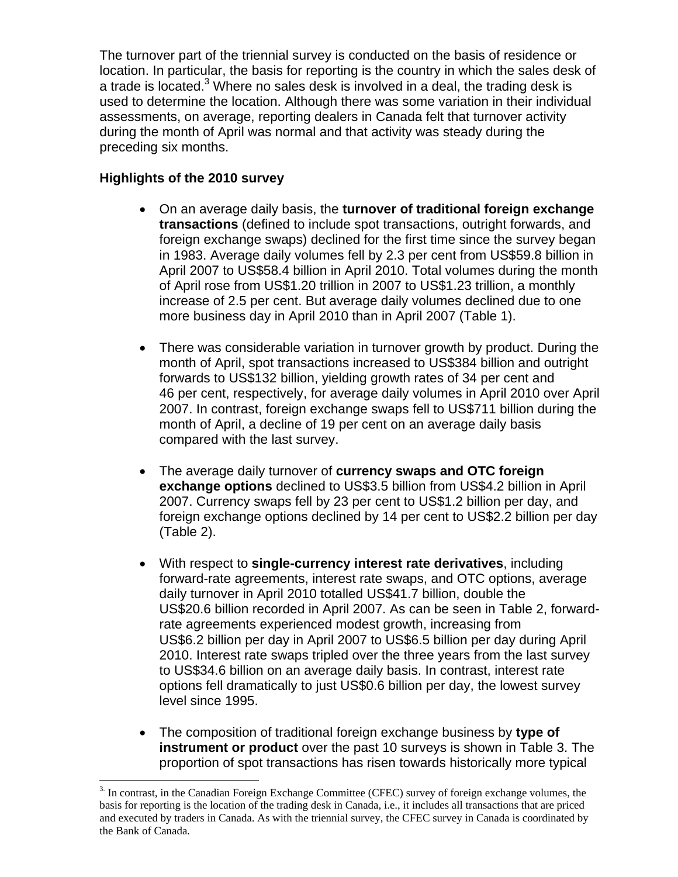The turnover part of the triennial survey is conducted on the basis of residence or location. In particular, the basis for reporting is the country in which the sales desk of a trade is located.<sup>3</sup> Where no sales desk is involved in a deal, the trading desk is used to determine the location. Although there was some variation in their individual assessments, on average, reporting dealers in Canada felt that turnover activity during the month of April was normal and that activity was steady during the preceding six months.

## **Highlights of the 2010 survey**

 $\overline{a}$ 

- On an average daily basis, the **turnover of traditional foreign exchange transactions** (defined to include spot transactions, outright forwards, and foreign exchange swaps) declined for the first time since the survey began in 1983. Average daily volumes fell by 2.3 per cent from US\$59.8 billion in April 2007 to US\$58.4 billion in April 2010. Total volumes during the month of April rose from US\$1.20 trillion in 2007 to US\$1.23 trillion, a monthly increase of 2.5 per cent. But average daily volumes declined due to one more business day in April 2010 than in April 2007 (Table 1).
- There was considerable variation in turnover growth by product. During the month of April, spot transactions increased to US\$384 billion and outright forwards to US\$132 billion, yielding growth rates of 34 per cent and 46 per cent, respectively, for average daily volumes in April 2010 over April 2007. In contrast, foreign exchange swaps fell to US\$711 billion during the month of April, a decline of 19 per cent on an average daily basis compared with the last survey.
- The average daily turnover of **currency swaps and OTC foreign exchange options** declined to US\$3.5 billion from US\$4.2 billion in April 2007. Currency swaps fell by 23 per cent to US\$1.2 billion per day, and foreign exchange options declined by 14 per cent to US\$2.2 billion per day (Table 2).
- With respect to **single-currency interest rate derivatives**, including forward-rate agreements, interest rate swaps, and OTC options, average daily turnover in April 2010 totalled US\$41.7 billion, double the US\$20.6 billion recorded in April 2007. As can be seen in Table 2, forwardrate agreements experienced modest growth, increasing from US\$6.2 billion per day in April 2007 to US\$6.5 billion per day during April 2010. Interest rate swaps tripled over the three years from the last survey to US\$34.6 billion on an average daily basis. In contrast, interest rate options fell dramatically to just US\$0.6 billion per day, the lowest survey level since 1995.
- The composition of traditional foreign exchange business by **type of instrument or product** over the past 10 surveys is shown in Table 3. The proportion of spot transactions has risen towards historically more typical

<sup>3.</sup> In contrast, in the Canadian Foreign Exchange Committee (CFEC) survey of foreign exchange volumes, the basis for reporting is the location of the trading desk in Canada, i.e., it includes all transactions that are priced and executed by traders in Canada. As with the triennial survey, the CFEC survey in Canada is coordinated by the Bank of Canada.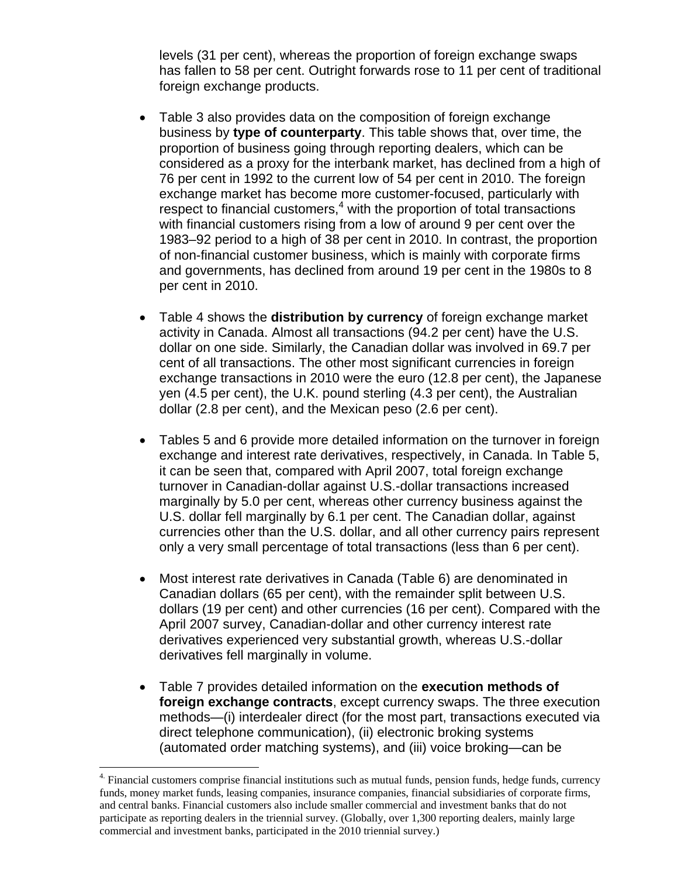levels (31 per cent), whereas the proportion of foreign exchange swaps has fallen to 58 per cent. Outright forwards rose to 11 per cent of traditional foreign exchange products.

- Table 3 also provides data on the composition of foreign exchange business by **type of counterparty**. This table shows that, over time, the proportion of business going through reporting dealers, which can be considered as a proxy for the interbank market, has declined from a high of 76 per cent in 1992 to the current low of 54 per cent in 2010. The foreign exchange market has become more customer-focused, particularly with respect to financial customers,<sup>4</sup> with the proportion of total transactions with financial customers rising from a low of around 9 per cent over the 1983–92 period to a high of 38 per cent in 2010. In contrast, the proportion of non-financial customer business, which is mainly with corporate firms and governments, has declined from around 19 per cent in the 1980s to 8 per cent in 2010.
- Table 4 shows the **distribution by currency** of foreign exchange market activity in Canada. Almost all transactions (94.2 per cent) have the U.S. dollar on one side. Similarly, the Canadian dollar was involved in 69.7 per cent of all transactions. The other most significant currencies in foreign exchange transactions in 2010 were the euro (12.8 per cent), the Japanese yen (4.5 per cent), the U.K. pound sterling (4.3 per cent), the Australian dollar (2.8 per cent), and the Mexican peso (2.6 per cent).
- Tables 5 and 6 provide more detailed information on the turnover in foreign exchange and interest rate derivatives, respectively, in Canada. In Table 5, it can be seen that, compared with April 2007, total foreign exchange turnover in Canadian-dollar against U.S.-dollar transactions increased marginally by 5.0 per cent, whereas other currency business against the U.S. dollar fell marginally by 6.1 per cent. The Canadian dollar, against currencies other than the U.S. dollar, and all other currency pairs represent only a very small percentage of total transactions (less than 6 per cent).
- Most interest rate derivatives in Canada (Table 6) are denominated in Canadian dollars (65 per cent), with the remainder split between U.S. dollars (19 per cent) and other currencies (16 per cent). Compared with the April 2007 survey, Canadian-dollar and other currency interest rate derivatives experienced very substantial growth, whereas U.S.-dollar derivatives fell marginally in volume.
- Table 7 provides detailed information on the **execution methods of foreign exchange contracts**, except currency swaps. The three execution methods—(i) interdealer direct (for the most part, transactions executed via direct telephone communication), (ii) electronic broking systems (automated order matching systems), and (iii) voice broking—can be

1

<sup>&</sup>lt;sup>4.</sup> Financial customers comprise financial institutions such as mutual funds, pension funds, hedge funds, currency funds, money market funds, leasing companies, insurance companies, financial subsidiaries of corporate firms, and central banks. Financial customers also include smaller commercial and investment banks that do not participate as reporting dealers in the triennial survey. (Globally, over 1,300 reporting dealers, mainly large commercial and investment banks, participated in the 2010 triennial survey.)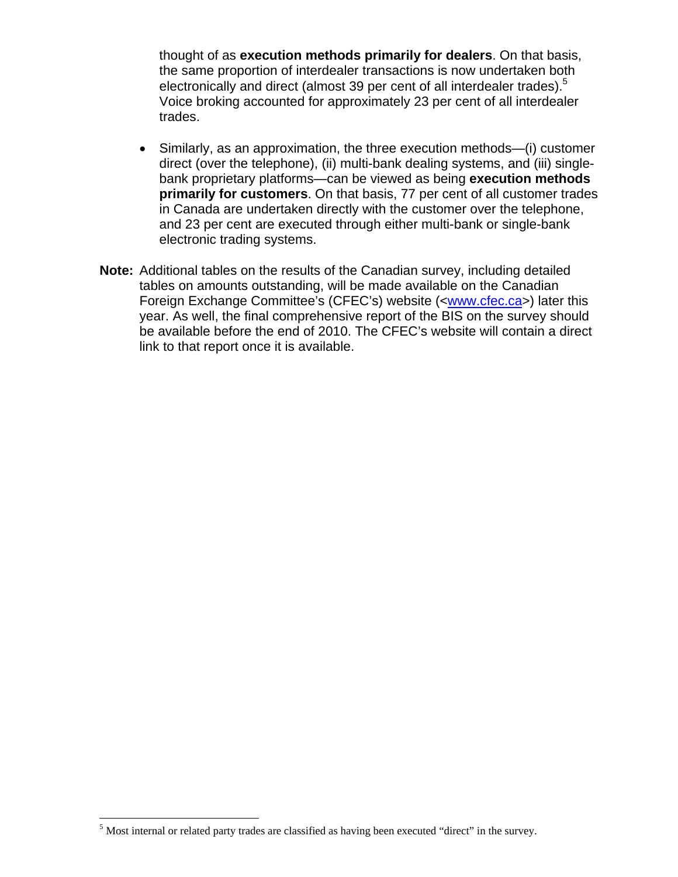thought of as **execution methods primarily for dealers**. On that basis, the same proportion of interdealer transactions is now undertaken both electronically and direct (almost 39 per cent of all interdealer trades).<sup>5</sup> Voice broking accounted for approximately 23 per cent of all interdealer trades.

- Similarly, as an approximation, the three execution methods—(i) customer direct (over the telephone), (ii) multi-bank dealing systems, and (iii) singlebank proprietary platforms—can be viewed as being **execution methods primarily for customers**. On that basis, 77 per cent of all customer trades in Canada are undertaken directly with the customer over the telephone, and 23 per cent are executed through either multi-bank or single-bank electronic trading systems.
- **Note:** Additional tables on the results of the Canadian survey, including detailed tables on amounts outstanding, will be made available on the Canadian Foreign Exchange Committee's (CFEC's) website (<www.cfec.ca>) later this year. As well, the final comprehensive report of the BIS on the survey should be available before the end of 2010. The CFEC's website will contain a direct link to that report once it is available.

 $\overline{a}$ 

 $<sup>5</sup>$  Most internal or related party trades are classified as having been executed "direct" in the survey.</sup>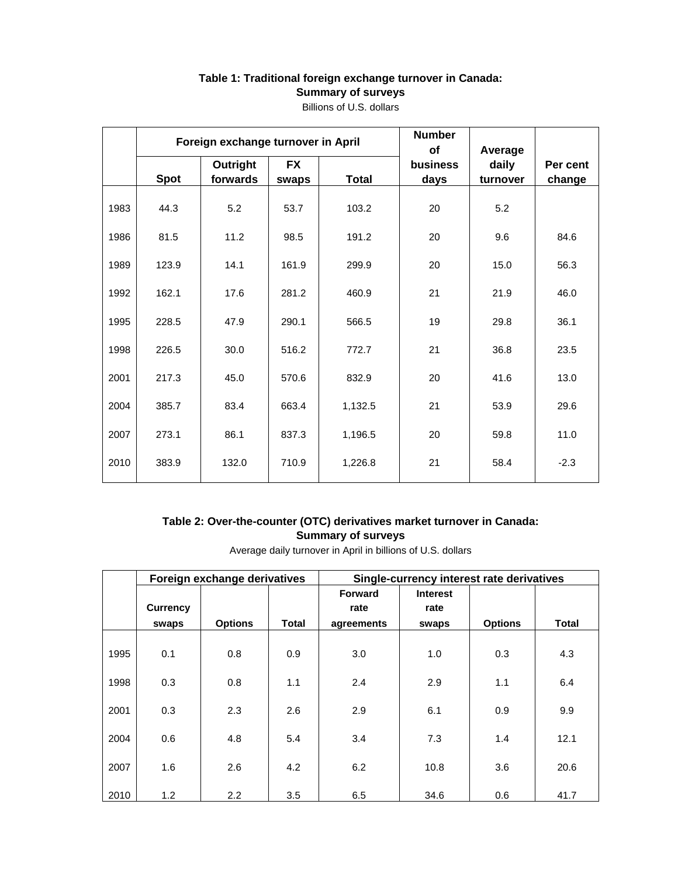## **Table 1: Traditional foreign exchange turnover in Canada: Summary of surveys**

|      |             | Foreign exchange turnover in April |                    | <b>Number</b><br>of | Average          |                   |                    |
|------|-------------|------------------------------------|--------------------|---------------------|------------------|-------------------|--------------------|
|      | <b>Spot</b> | Outright<br>forwards               | <b>FX</b><br>swaps | <b>Total</b>        | business<br>days | daily<br>turnover | Per cent<br>change |
| 1983 | 44.3        | 5.2                                | 53.7               | 103.2               | 20               | 5.2               |                    |
| 1986 | 81.5        | 11.2                               | 98.5               | 191.2               | 20               | 9.6               | 84.6               |
| 1989 | 123.9       | 14.1                               | 161.9              | 299.9               | 20               | 15.0              | 56.3               |
| 1992 | 162.1       | 17.6                               | 281.2              | 460.9               | 21               | 21.9              | 46.0               |
| 1995 | 228.5       | 47.9                               | 290.1              | 566.5               | 19               | 29.8              | 36.1               |
| 1998 | 226.5       | 30.0                               | 516.2              | 772.7               | 21               | 36.8              | 23.5               |
| 2001 | 217.3       | 45.0                               | 570.6              | 832.9               | 20               | 41.6              | 13.0               |
| 2004 | 385.7       | 83.4                               | 663.4              | 1,132.5             | 21               | 53.9              | 29.6               |
| 2007 | 273.1       | 86.1                               | 837.3              | 1,196.5             | 20               | 59.8              | 11.0               |
| 2010 | 383.9       | 132.0                              | 710.9              | 1,226.8             | 21               | 58.4              | $-2.3$             |

Billions of U.S. dollars

### **Table 2: Over-the-counter (OTC) derivatives market turnover in Canada: Summary of surveys**

Average daily turnover in April in billions of U.S. dollars

|      |                 | Foreign exchange derivatives |              | Single-currency interest rate derivatives |                 |                |       |  |  |  |
|------|-----------------|------------------------------|--------------|-------------------------------------------|-----------------|----------------|-------|--|--|--|
|      |                 |                              |              | <b>Forward</b>                            | <b>Interest</b> |                |       |  |  |  |
|      | <b>Currency</b> |                              |              | rate                                      | rate            |                |       |  |  |  |
|      | swaps           | <b>Options</b>               | <b>Total</b> | agreements                                | swaps           | <b>Options</b> | Total |  |  |  |
| 1995 | 0.1             | 0.8                          | 0.9          | 3.0                                       | 1.0             | 0.3            | 4.3   |  |  |  |
| 1998 | 0.3             | 0.8                          | 1.1          | 2.4                                       | 2.9             | 1.1            | 6.4   |  |  |  |
| 2001 | 0.3             | 2.3                          | 2.6          | 2.9                                       | 6.1             | 0.9            | 9.9   |  |  |  |
| 2004 | 0.6             | 4.8                          | 5.4          | 3.4                                       | 7.3             | 1.4            | 12.1  |  |  |  |
| 2007 | 1.6             | 2.6                          | 4.2          | 6.2                                       | 10.8            | 3.6            | 20.6  |  |  |  |
| 2010 | 1.2             | 2.2                          | 3.5          | 6.5                                       | 34.6            | 0.6            | 41.7  |  |  |  |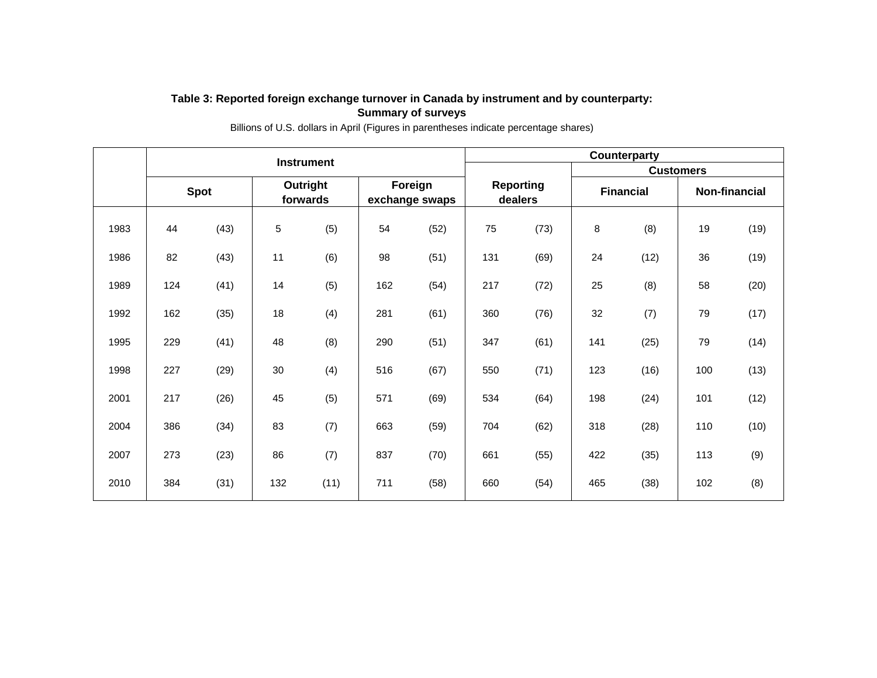#### **Table 3: Reported foreign exchange turnover in Canada by instrument and by counterparty: Summary of surveys**

|      | <b>Instrument</b> |      |                      |      |                           |      |                             | <b>Counterparty</b> |                  |                  |               |      |  |  |  |
|------|-------------------|------|----------------------|------|---------------------------|------|-----------------------------|---------------------|------------------|------------------|---------------|------|--|--|--|
|      |                   |      |                      |      |                           |      |                             |                     |                  | <b>Customers</b> |               |      |  |  |  |
|      | <b>Spot</b>       |      | Outright<br>forwards |      | Foreign<br>exchange swaps |      | <b>Reporting</b><br>dealers |                     | <b>Financial</b> |                  | Non-financial |      |  |  |  |
| 1983 | 44                | (43) | 5                    | (5)  | 54                        | (52) | 75                          | (73)                | $\bf8$           | (8)              | 19            | (19) |  |  |  |
| 1986 | 82                | (43) | 11                   | (6)  | 98                        | (51) | 131                         | (69)                | 24               | (12)             | 36            | (19) |  |  |  |
| 1989 | 124               | (41) | 14                   | (5)  | 162                       | (54) | 217                         | (72)                | 25               | (8)              | 58            | (20) |  |  |  |
| 1992 | 162               | (35) | 18                   | (4)  | 281                       | (61) | 360                         | (76)                | 32               | (7)              | 79            | (17) |  |  |  |
| 1995 | 229               | (41) | 48                   | (8)  | 290                       | (51) | 347                         | (61)                | 141              | (25)             | 79            | (14) |  |  |  |
| 1998 | 227               | (29) | 30                   | (4)  | 516                       | (67) | 550                         | (71)                | 123              | (16)             | 100           | (13) |  |  |  |
| 2001 | 217               | (26) | 45                   | (5)  | 571                       | (69) | 534                         | (64)                | 198              | (24)             | 101           | (12) |  |  |  |
| 2004 | 386               | (34) | 83                   | (7)  | 663                       | (59) | 704                         | (62)                | 318              | (28)             | 110           | (10) |  |  |  |
| 2007 | 273               | (23) | 86                   | (7)  | 837                       | (70) | 661                         | (55)                | 422              | (35)             | 113           | (9)  |  |  |  |
| 2010 | 384               | (31) | 132                  | (11) | 711                       | (58) | 660                         | (54)                | 465              | (38)             | 102           | (8)  |  |  |  |

Billions of U.S. dollars in April (Figures in parentheses indicate percentage shares)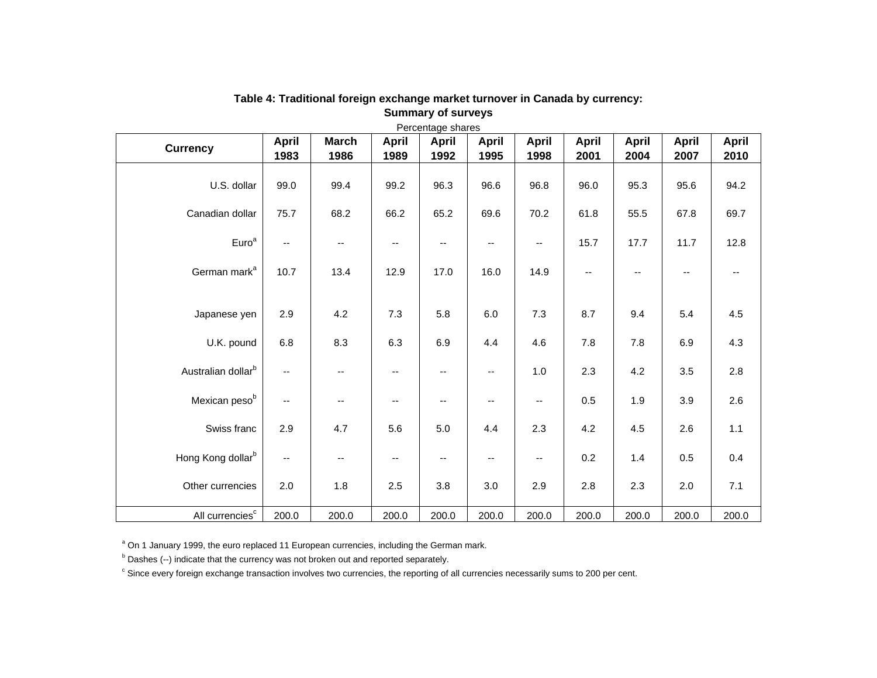| <b>Currency</b>                | <b>April</b>             | <b>March</b>             | <b>April</b>             | <b>April</b> | <b>April</b>      | <b>April</b>             | <b>April</b>             | <b>April</b> | <b>April</b> | <b>April</b> |
|--------------------------------|--------------------------|--------------------------|--------------------------|--------------|-------------------|--------------------------|--------------------------|--------------|--------------|--------------|
|                                | 1983                     | 1986                     | 1989                     | 1992         | 1995              | 1998                     | 2001                     | 2004         | 2007         | 2010         |
| U.S. dollar                    | 99.0                     | 99.4                     | 99.2                     | 96.3         | 96.6              | 96.8                     | 96.0                     | 95.3         | 95.6         | 94.2         |
| Canadian dollar                | 75.7                     | 68.2                     | 66.2                     | 65.2         | 69.6              | 70.2                     | 61.8                     | 55.5         | 67.8         | 69.7         |
| Euro <sup>a</sup>              | --                       | $\overline{\phantom{m}}$ | $\overline{\phantom{a}}$ | --           | --                | $\overline{\phantom{a}}$ | 15.7                     | 17.7         | 11.7         | 12.8         |
| German mark <sup>a</sup>       | 10.7                     | 13.4                     | 12.9                     | 17.0         | 16.0              | 14.9                     | $\overline{\phantom{a}}$ | --           | --           | --           |
| Japanese yen                   | 2.9                      | 4.2                      | 7.3                      | 5.8          | 6.0               | 7.3                      | 8.7                      | 9.4          | 5.4          | 4.5          |
| U.K. pound                     | 6.8                      | 8.3                      | 6.3                      | 6.9          | 4.4               | 4.6                      | 7.8                      | 7.8          | 6.9          | 4.3          |
| Australian dollar <sup>b</sup> | $\overline{\phantom{a}}$ | $\overline{\phantom{a}}$ | $\overline{\phantom{a}}$ | --           | $\qquad \qquad -$ | 1.0                      | 2.3                      | 4.2          | 3.5          | 2.8          |
| Mexican pesob                  | $\overline{\phantom{a}}$ | $\overline{\phantom{a}}$ | $\overline{\phantom{a}}$ | --           | --                | $\overline{\phantom{a}}$ | 0.5                      | 1.9          | 3.9          | 2.6          |
| Swiss franc                    | 2.9                      | 4.7                      | 5.6                      | 5.0          | 4.4               | 2.3                      | 4.2                      | 4.5          | 2.6          | $1.1$        |
| Hong Kong dollar <sup>b</sup>  | $\overline{\phantom{a}}$ | $\overline{\phantom{m}}$ | $\overline{\phantom{a}}$ | --           | --                | $\overline{\phantom{a}}$ | 0.2                      | 1.4          | 0.5          | 0.4          |
| Other currencies               | 2.0                      | 1.8                      | 2.5                      | 3.8          | 3.0               | 2.9                      | 2.8                      | 2.3          | 2.0          | 7.1          |
| All currencies <sup>c</sup>    | 200.0                    | 200.0                    | 200.0                    | 200.0        | 200.0             | 200.0                    | 200.0                    | 200.0        | 200.0        | 200.0        |

#### **Table 4: Traditional foreign exchange market turnover in Canada by currency: Summary of surveys**

<sup>a</sup> On 1 January 1999, the euro replaced 11 European currencies, including the German mark.

 $<sup>b</sup>$  Dashes (--) indicate that the currency was not broken out and reported separately.</sup>

c Since every foreign exchange transaction involves two currencies, the reporting of all currencies necessarily sums to 200 per cent.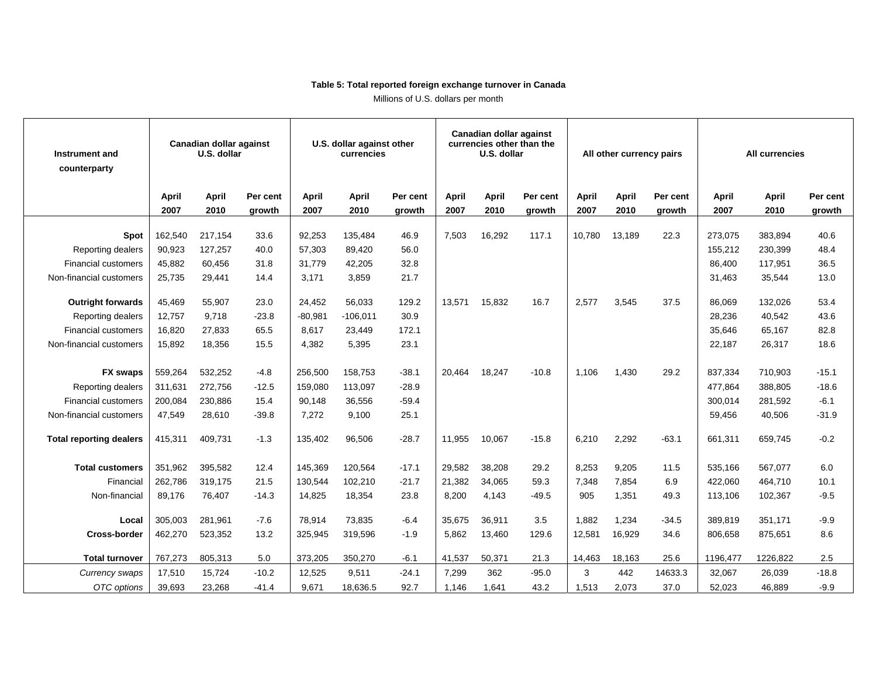#### **Table 5: Total reported foreign exchange turnover in Canada**

Millions of U.S. dollars per month

| Canadian dollar against<br>U.S. dollar<br>Instrument and<br>counterparty |         | U.S. dollar against other<br>currencies |          |           | Canadian dollar against<br>currencies other than the<br>U.S. dollar |          |        | All other currency pairs |          |        | All currencies |          |          |              |          |
|--------------------------------------------------------------------------|---------|-----------------------------------------|----------|-----------|---------------------------------------------------------------------|----------|--------|--------------------------|----------|--------|----------------|----------|----------|--------------|----------|
|                                                                          | April   | <b>April</b>                            | Per cent | April     | <b>April</b>                                                        | Per cent | April  | April                    | Per cent | April  | April          | Per cent | April    | <b>April</b> | Per cent |
|                                                                          | 2007    | 2010                                    | growth   | 2007      | 2010                                                                | growth   | 2007   | 2010                     | growth   | 2007   | 2010           | growth   | 2007     | 2010         | growth   |
|                                                                          |         |                                         |          |           |                                                                     |          |        |                          |          |        |                |          |          |              |          |
| <b>Spot</b>                                                              | 162,540 | 217,154                                 | 33.6     | 92,253    | 135,484                                                             | 46.9     | 7,503  | 16,292                   | 117.1    | 10,780 | 13,189         | 22.3     | 273,075  | 383,894      | 40.6     |
| <b>Reporting dealers</b>                                                 | 90,923  | 127,257                                 | 40.0     | 57.303    | 89,420                                                              | 56.0     |        |                          |          |        |                |          | 155,212  | 230,399      | 48.4     |
| <b>Financial customers</b>                                               | 45,882  | 60,456                                  | 31.8     | 31,779    | 42,205                                                              | 32.8     |        |                          |          |        |                |          | 86,400   | 117,951      | 36.5     |
| Non-financial customers                                                  | 25,735  | 29,441                                  | 14.4     | 3,171     | 3,859                                                               | 21.7     |        |                          |          |        |                |          | 31,463   | 35,544       | 13.0     |
| <b>Outright forwards</b>                                                 | 45,469  | 55,907                                  | 23.0     | 24,452    | 56,033                                                              | 129.2    | 13,571 | 15,832                   | 16.7     | 2,577  | 3,545          | 37.5     | 86,069   | 132,026      | 53.4     |
|                                                                          | 12,757  | 9,718                                   | $-23.8$  | $-80,981$ | $-106,011$                                                          | 30.9     |        |                          |          |        |                |          | 28,236   | 40,542       | 43.6     |
| Reporting dealers<br><b>Financial customers</b>                          |         |                                         | 65.5     | 8.617     |                                                                     | 172.1    |        |                          |          |        |                |          | 35.646   |              |          |
|                                                                          | 16,820  | 27,833                                  |          |           | 23,449                                                              |          |        |                          |          |        |                |          |          | 65,167       | 82.8     |
| Non-financial customers                                                  | 15,892  | 18,356                                  | 15.5     | 4,382     | 5,395                                                               | 23.1     |        |                          |          |        |                |          | 22,187   | 26,317       | 18.6     |
| <b>FX swaps</b>                                                          | 559,264 | 532,252                                 | $-4.8$   | 256,500   | 158,753                                                             | $-38.1$  | 20,464 | 18,247                   | $-10.8$  | 1,106  | 1,430          | 29.2     | 837,334  | 710,903      | $-15.1$  |
|                                                                          |         | 272,756                                 | $-12.5$  |           |                                                                     | $-28.9$  |        |                          |          |        |                |          |          | 388,805      | $-18.6$  |
| <b>Reporting dealers</b>                                                 | 311,631 |                                         |          | 159,080   | 113,097                                                             |          |        |                          |          |        |                |          | 477,864  |              |          |
| <b>Financial customers</b>                                               | 200,084 | 230,886                                 | 15.4     | 90,148    | 36,556                                                              | $-59.4$  |        |                          |          |        |                |          | 300,014  | 281,592      | $-6.1$   |
| Non-financial customers                                                  | 47,549  | 28,610                                  | $-39.8$  | 7,272     | 9,100                                                               | 25.1     |        |                          |          |        |                |          | 59,456   | 40,506       | $-31.9$  |
| <b>Total reporting dealers</b>                                           | 415.311 | 409,731                                 | $-1.3$   | 135.402   | 96,506                                                              | $-28.7$  | 11.955 | 10.067                   | $-15.8$  | 6,210  | 2,292          | $-63.1$  | 661.311  | 659.745      | $-0.2$   |
|                                                                          |         |                                         |          |           |                                                                     |          |        |                          |          |        |                |          |          |              |          |
| <b>Total customers</b>                                                   | 351,962 | 395,582                                 | 12.4     | 145.369   | 120.564                                                             | $-17.1$  | 29.582 | 38,208                   | 29.2     | 8,253  | 9,205          | 11.5     | 535,166  | 567,077      | 6.0      |
| Financial                                                                | 262,786 | 319,175                                 | 21.5     | 130,544   | 102,210                                                             | $-21.7$  | 21,382 | 34,065                   | 59.3     | 7,348  | 7,854          | 6.9      | 422,060  | 464,710      | 10.1     |
| Non-financial                                                            | 89,176  | 76,407                                  | $-14.3$  | 14,825    | 18,354                                                              | 23.8     | 8,200  | 4,143                    | $-49.5$  | 905    | 1,351          | 49.3     | 113,106  | 102,367      | $-9.5$   |
|                                                                          |         |                                         |          |           |                                                                     |          |        |                          |          |        |                |          |          |              |          |
| Local                                                                    | 305,003 | 281,961                                 | $-7.6$   | 78.914    | 73,835                                                              | $-6.4$   | 35.675 | 36,911                   | 3.5      | 1.882  | 1,234          | $-34.5$  | 389,819  | 351,171      | $-9.9$   |
| <b>Cross-border</b>                                                      | 462,270 | 523,352                                 | 13.2     | 325,945   | 319,596                                                             | $-1.9$   | 5,862  | 13,460                   | 129.6    | 12,581 | 16,929         | 34.6     | 806,658  | 875,651      | 8.6      |
|                                                                          |         |                                         |          |           |                                                                     |          |        |                          |          |        |                |          |          |              |          |
| <b>Total turnover</b>                                                    | 767,273 | 805,313                                 | 5.0      | 373,205   | 350,270                                                             | $-6.1$   | 41,537 | 50,371                   | 21.3     | 14,463 | 18,163         | 25.6     | 1196,477 | 1226,822     | 2.5      |
| Currency swaps                                                           | 17,510  | 15,724                                  | $-10.2$  | 12,525    | 9,511                                                               | $-24.1$  | 7.299  | 362                      | $-95.0$  | 3      | 442            | 14633.3  | 32,067   | 26,039       | $-18.8$  |
| OTC options                                                              | 39,693  | 23,268                                  | $-41.4$  | 9,671     | 18,636.5                                                            | 92.7     | 1,146  | 1,641                    | 43.2     | 1,513  | 2,073          | 37.0     | 52,023   | 46,889       | $-9.9$   |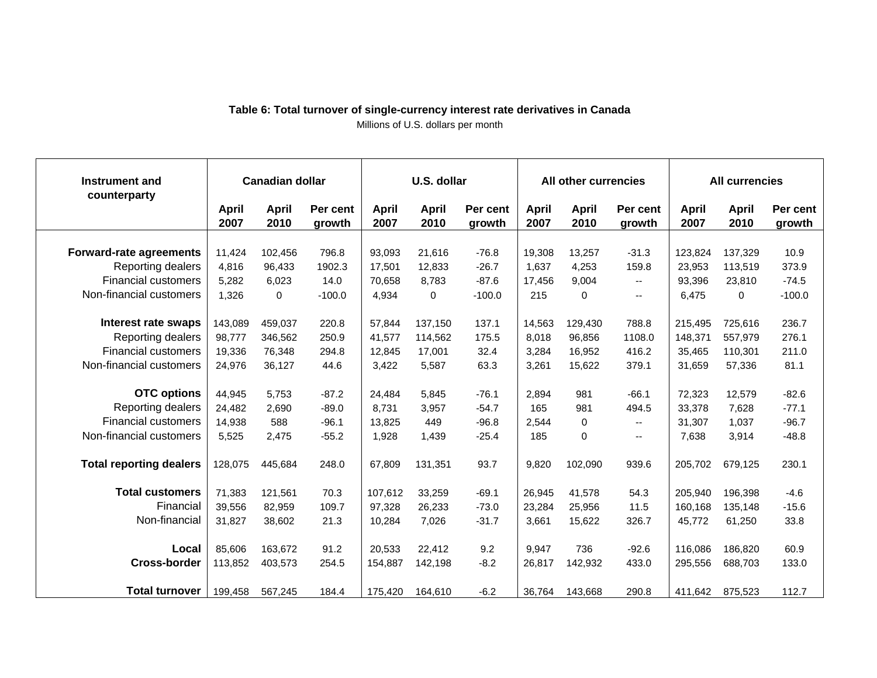| <b>Instrument and</b><br>counterparty | <b>Canadian dollar</b> |                      | U.S. dollar        |                      |                      | All other currencies |               |                      | <b>All currencies</b>    |               |                      |                    |
|---------------------------------------|------------------------|----------------------|--------------------|----------------------|----------------------|----------------------|---------------|----------------------|--------------------------|---------------|----------------------|--------------------|
|                                       | April<br>2007          | <b>April</b><br>2010 | Per cent<br>growth | <b>April</b><br>2007 | <b>April</b><br>2010 | Per cent<br>growth   | April<br>2007 | <b>April</b><br>2010 | Per cent<br>growth       | April<br>2007 | <b>April</b><br>2010 | Per cent<br>growth |
|                                       |                        |                      |                    |                      |                      |                      |               |                      |                          |               |                      |                    |
| <b>Forward-rate agreements</b>        | 11,424                 | 102,456              | 796.8              | 93,093               | 21,616               | $-76.8$              | 19,308        | 13,257               | $-31.3$                  | 123,824       | 137,329              | 10.9               |
| Reporting dealers                     | 4,816                  | 96,433               | 1902.3             | 17,501               | 12,833               | $-26.7$              | 1,637         | 4,253                | 159.8                    | 23,953        | 113,519              | 373.9              |
| <b>Financial customers</b>            | 5,282                  | 6,023                | 14.0               | 70,658               | 8,783                | $-87.6$              | 17,456        | 9,004                | $\overline{\phantom{a}}$ | 93,396        | 23,810               | $-74.5$            |
| Non-financial customers               | 1,326                  | 0                    | $-100.0$           | 4,934                | 0                    | $-100.0$             | 215           | 0                    | $\overline{\phantom{a}}$ | 6,475         | 0                    | $-100.0$           |
| Interest rate swaps                   | 143,089                | 459,037              | 220.8              | 57,844               | 137,150              | 137.1                | 14,563        | 129,430              | 788.8                    | 215,495       | 725,616              | 236.7              |
| Reporting dealers                     | 98,777                 | 346,562              | 250.9              | 41,577               | 114.562              | 175.5                | 8.018         | 96,856               | 1108.0                   | 148,371       | 557,979              | 276.1              |
| <b>Financial customers</b>            | 19,336                 | 76,348               | 294.8              | 12,845               | 17,001               | 32.4                 | 3,284         | 16,952               | 416.2                    | 35,465        | 110,301              | 211.0              |
| Non-financial customers               | 24,976                 | 36,127               | 44.6               | 3,422                | 5,587                | 63.3                 | 3,261         | 15,622               | 379.1                    | 31,659        | 57,336               | 81.1               |
|                                       |                        |                      |                    |                      |                      |                      |               |                      |                          |               |                      |                    |
| <b>OTC options</b>                    | 44,945                 | 5,753                | $-87.2$            | 24,484               | 5,845                | $-76.1$              | 2,894         | 981                  | $-66.1$                  | 72,323        | 12,579               | $-82.6$            |
| Reporting dealers                     | 24,482                 | 2,690                | $-89.0$            | 8.731                | 3,957                | $-54.7$              | 165           | 981                  | 494.5                    | 33,378        | 7,628                | $-77.1$            |
| <b>Financial customers</b>            | 14,938                 | 588                  | $-96.1$            | 13,825               | 449                  | $-96.8$              | 2,544         | 0                    | $\overline{\phantom{a}}$ | 31,307        | 1,037                | $-96.7$            |
| Non-financial customers               | 5,525                  | 2,475                | $-55.2$            | 1,928                | 1,439                | $-25.4$              | 185           | 0                    | $\overline{\phantom{a}}$ | 7,638         | 3,914                | $-48.8$            |
| <b>Total reporting dealers</b>        | 128,075                | 445,684              | 248.0              | 67,809               | 131,351              | 93.7                 | 9,820         | 102,090              | 939.6                    | 205,702       | 679,125              | 230.1              |
| <b>Total customers</b>                | 71,383                 | 121,561              | 70.3               | 107,612              | 33,259               | $-69.1$              | 26,945        | 41,578               | 54.3                     | 205,940       | 196,398              | $-4.6$             |
| Financial                             | 39,556                 | 82,959               | 109.7              | 97,328               | 26,233               | $-73.0$              | 23,284        | 25,956               | 11.5                     | 160,168       | 135,148              | $-15.6$            |
| Non-financial                         | 31,827                 | 38,602               | 21.3               | 10,284               | 7,026                | $-31.7$              | 3,661         | 15,622               | 326.7                    | 45,772        | 61,250               | 33.8               |
| Local                                 | 85,606                 | 163,672              | 91.2               | 20,533               | 22,412               | 9.2                  | 9,947         | 736                  | $-92.6$                  | 116,086       | 186,820              | 60.9               |
| <b>Cross-border</b>                   | 113,852                | 403,573              | 254.5              | 154,887              | 142,198              | $-8.2$               | 26,817        | 142,932              | 433.0                    | 295,556       | 688,703              | 133.0              |
|                                       |                        |                      |                    |                      |                      |                      |               |                      |                          |               |                      |                    |
| <b>Total turnover</b>                 | 199,458                | 567,245              | 184.4              | 175,420              | 164,610              | $-6.2$               | 36,764        | 143,668              | 290.8                    | 411,642       | 875,523              | 112.7              |

#### **Table 6: Total turnover of single-currency interest rate derivatives in Canada**  Millions of U.S. dollars per month